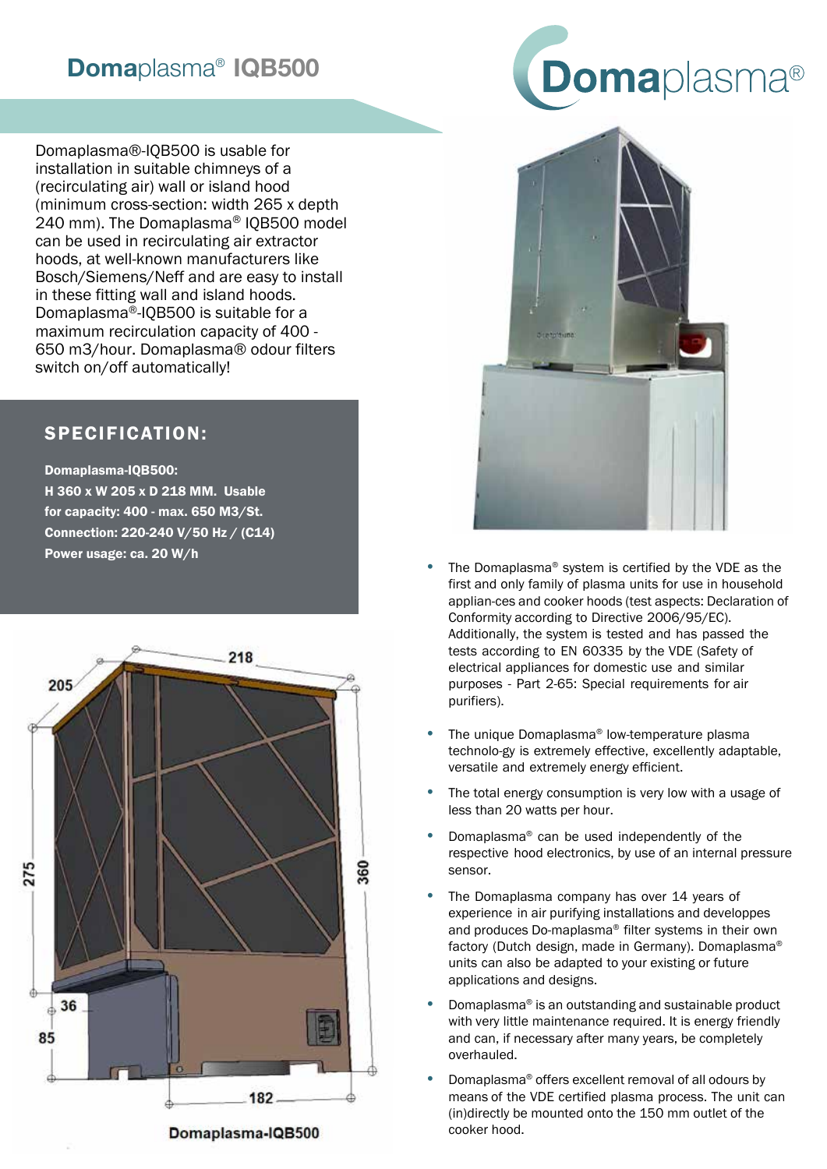## Domaplasma® IQB500

Domaplasma®-IQB500 is usable for installation in suitable chimneys of a (recirculating air) wall or island hood (minimum cross-section: width 265 x depth 240 mm). The Domaplasma® IQB500 model can be used in recirculating air extractor hoods, at well-known manufacturers like Bosch/Siemens/Neff and are easy to install in these fitting wall and island hoods. Domaplasma®-IQB500 is suitable for a maximum recirculation capacity of 400 - 650 m3/hour. Domaplasma® odour filters switch on/off automatically!

## SPECIFICATION:

Domaplasma-IQB500: H 360 x W 205 x D 218 MM. Usable for capacity: 400 - max. 650 M3/St. Connection: 220-240 V/50 Hz / (C14) Power usage: ca. 20 W/h





- The Domaplasma® system is certified by the VDE as the first and only family of plasma units for use in household applian-ces and cooker hoods (test aspects: Declaration of Conformity according to Directive 2006/95/EC). Additionally, the system is tested and has passed the tests according to EN 60335 by the VDE (Safety of electrical appliances for domestic use and similar purposes - Part 2-65: Special requirements for air purifiers).
- The unique Domaplasma® low-temperature plasma technolo-gy is extremely effective, excellently adaptable, versatile and extremely energy efficient.
- The total energy consumption is very low with a usage of less than 20 watts per hour.
- Domaplasma® can be used independently of the respective hood electronics, by use of an internal pressure sensor.
- The Domaplasma company has over 14 years of experience in air purifying installations and developpes and produces Do-maplasma® filter systems in their own factory (Dutch design, made in Germany). Domaplasma® units can also be adapted to your existing or future applications and designs.
- Domaplasma® is an outstanding and sustainable product with very little maintenance required. It is energy friendly and can, if necessary after many years, be completely overhauled.
- Domaplasma® offers excellent removal of all odours by means of the VDE certified plasma process. The unit can (in)directly be mounted onto the 150 mm outlet of the cooker hood.